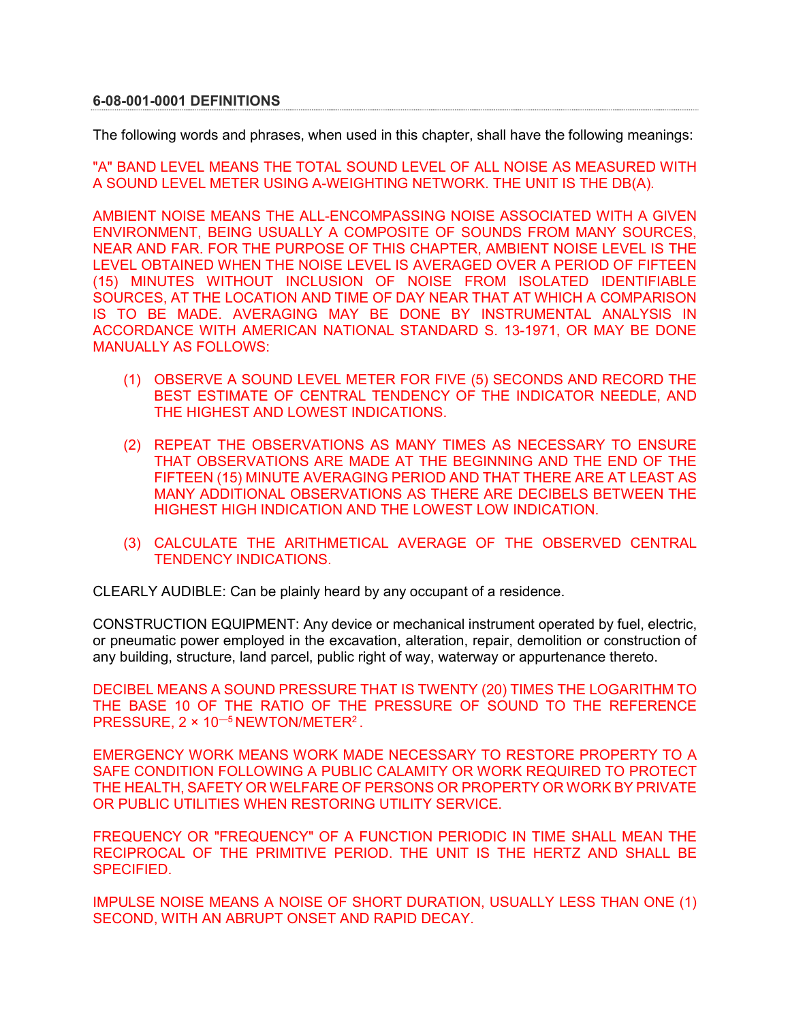## **6-08-001-0001 DEFINITIONS**

The following words and phrases, when used in this chapter, shall have the following meanings:

"A" BAND LEVEL MEANS THE TOTAL SOUND LEVEL OF ALL NOISE AS MEASURED WITH A SOUND LEVEL METER USING A-WEIGHTING NETWORK. THE UNIT IS THE DB(A).

AMBIENT NOISE MEANS THE ALL-ENCOMPASSING NOISE ASSOCIATED WITH A GIVEN ENVIRONMENT, BEING USUALLY A COMPOSITE OF SOUNDS FROM MANY SOURCES, NEAR AND FAR. FOR THE PURPOSE OF THIS CHAPTER, AMBIENT NOISE LEVEL IS THE LEVEL OBTAINED WHEN THE NOISE LEVEL IS AVERAGED OVER A PERIOD OF FIFTEEN (15) MINUTES WITHOUT INCLUSION OF NOISE FROM ISOLATED IDENTIFIABLE SOURCES, AT THE LOCATION AND TIME OF DAY NEAR THAT AT WHICH A COMPARISON IS TO BE MADE. AVERAGING MAY BE DONE BY INSTRUMENTAL ANALYSIS IN ACCORDANCE WITH AMERICAN NATIONAL STANDARD S. 13-1971, OR MAY BE DONE MANUALLY AS FOLLOWS:

- (1) OBSERVE A SOUND LEVEL METER FOR FIVE (5) SECONDS AND RECORD THE BEST ESTIMATE OF CENTRAL TENDENCY OF THE INDICATOR NEEDLE, AND THE HIGHEST AND LOWEST INDICATIONS.
- (2) REPEAT THE OBSERVATIONS AS MANY TIMES AS NECESSARY TO ENSURE THAT OBSERVATIONS ARE MADE AT THE BEGINNING AND THE END OF THE FIFTEEN (15) MINUTE AVERAGING PERIOD AND THAT THERE ARE AT LEAST AS MANY ADDITIONAL OBSERVATIONS AS THERE ARE DECIBELS BETWEEN THE HIGHEST HIGH INDICATION AND THE LOWEST LOW INDICATION.
- (3) CALCULATE THE ARITHMETICAL AVERAGE OF THE OBSERVED CENTRAL TENDENCY INDICATIONS.

CLEARLY AUDIBLE: Can be plainly heard by any occupant of a residence.

CONSTRUCTION EQUIPMENT: Any device or mechanical instrument operated by fuel, electric, or pneumatic power employed in the excavation, alteration, repair, demolition or construction of any building, structure, land parcel, public right of way, waterway or appurtenance thereto.

DECIBEL MEANS A SOUND PRESSURE THAT IS TWENTY (20) TIMES THE LOGARITHM TO THE BASE 10 OF THE RATIO OF THE PRESSURE OF SOUND TO THE REFERENCE PRESSURE, 2 × 10—5 NEWTON/METER2 .

EMERGENCY WORK MEANS WORK MADE NECESSARY TO RESTORE PROPERTY TO A SAFE CONDITION FOLLOWING A PUBLIC CALAMITY OR WORK REQUIRED TO PROTECT THE HEALTH, SAFETY OR WELFARE OF PERSONS OR PROPERTY OR WORK BY PRIVATE OR PUBLIC UTILITIES WHEN RESTORING UTILITY SERVICE.

FREQUENCY OR "FREQUENCY" OF A FUNCTION PERIODIC IN TIME SHALL MEAN THE RECIPROCAL OF THE PRIMITIVE PERIOD. THE UNIT IS THE HERTZ AND SHALL BE **SPECIFIED.** 

IMPULSE NOISE MEANS A NOISE OF SHORT DURATION, USUALLY LESS THAN ONE (1) SECOND, WITH AN ABRUPT ONSET AND RAPID DECAY.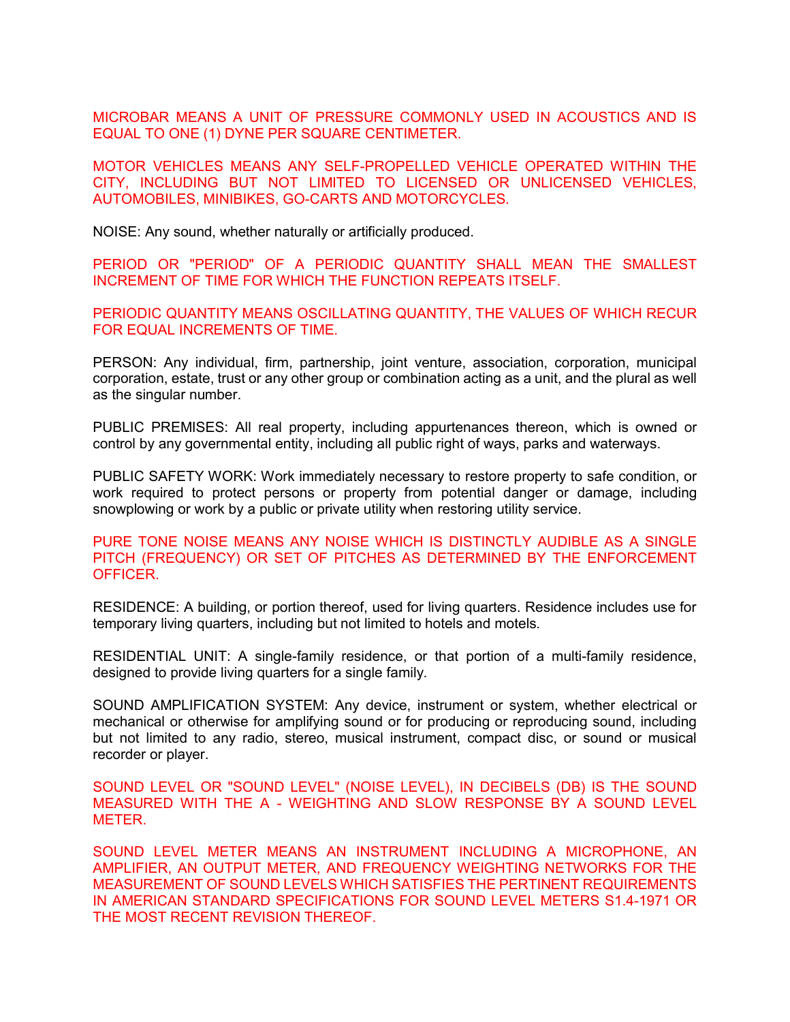MICROBAR MEANS A UNIT OF PRESSURE COMMONLY USED IN ACOUSTICS AND IS EQUAL TO ONE (1) DYNE PER SQUARE CENTIMETER.

MOTOR VEHICLES MEANS ANY SELF-PROPELLED VEHICLE OPERATED WITHIN THE CITY, INCLUDING BUT NOT LIMITED TO LICENSED OR UNLICENSED VEHICLES, AUTOMOBILES, MINIBIKES, GO-CARTS AND MOTORCYCLES.

NOISE: Any sound, whether naturally or artificially produced.

PERIOD OR "PERIOD" OF A PERIODIC QUANTITY SHALL MEAN THE SMALLEST INCREMENT OF TIME FOR WHICH THE FUNCTION REPEATS ITSELF.

PERIODIC QUANTITY MEANS OSCILLATING QUANTITY, THE VALUES OF WHICH RECUR FOR EQUAL INCREMENTS OF TIME.

PERSON: Any individual, firm, partnership, joint venture, association, corporation, municipal corporation, estate, trust or any other group or combination acting as a unit, and the plural as well as the singular number.

PUBLIC PREMISES: All real property, including appurtenances thereon, which is owned or control by any governmental entity, including all public right of ways, parks and waterways.

PUBLIC SAFETY WORK: Work immediately necessary to restore property to safe condition, or work required to protect persons or property from potential danger or damage, including snowplowing or work by a public or private utility when restoring utility service.

PURE TONE NOISE MEANS ANY NOISE WHICH IS DISTINCTLY AUDIBLE AS A SINGLE PITCH (FREQUENCY) OR SET OF PITCHES AS DETERMINED BY THE ENFORCEMENT OFFICER.

RESIDENCE: A building, or portion thereof, used for living quarters. Residence includes use for temporary living quarters, including but not limited to hotels and motels.

RESIDENTIAL UNIT: A single-family residence, or that portion of a multi-family residence, designed to provide living quarters for a single family.

SOUND AMPLIFICATION SYSTEM: Any device, instrument or system, whether electrical or mechanical or otherwise for amplifying sound or for producing or reproducing sound, including but not limited to any radio, stereo, musical instrument, compact disc, or sound or musical recorder or player.

SOUND LEVEL OR "SOUND LEVEL" (NOISE LEVEL), IN DECIBELS (DB) IS THE SOUND MEASURED WITH THE A - WEIGHTING AND SLOW RESPONSE BY A SOUND LEVEL METER.

SOUND LEVEL METER MEANS AN INSTRUMENT INCLUDING A MICROPHONE, AN AMPLIFIER, AN OUTPUT METER, AND FREQUENCY WEIGHTING NETWORKS FOR THE MEASUREMENT OF SOUND LEVELS WHICH SATISFIES THE PERTINENT REQUIREMENTS IN AMERICAN STANDARD SPECIFICATIONS FOR SOUND LEVEL METERS S1.4-1971 OR THE MOST RECENT REVISION THEREOF.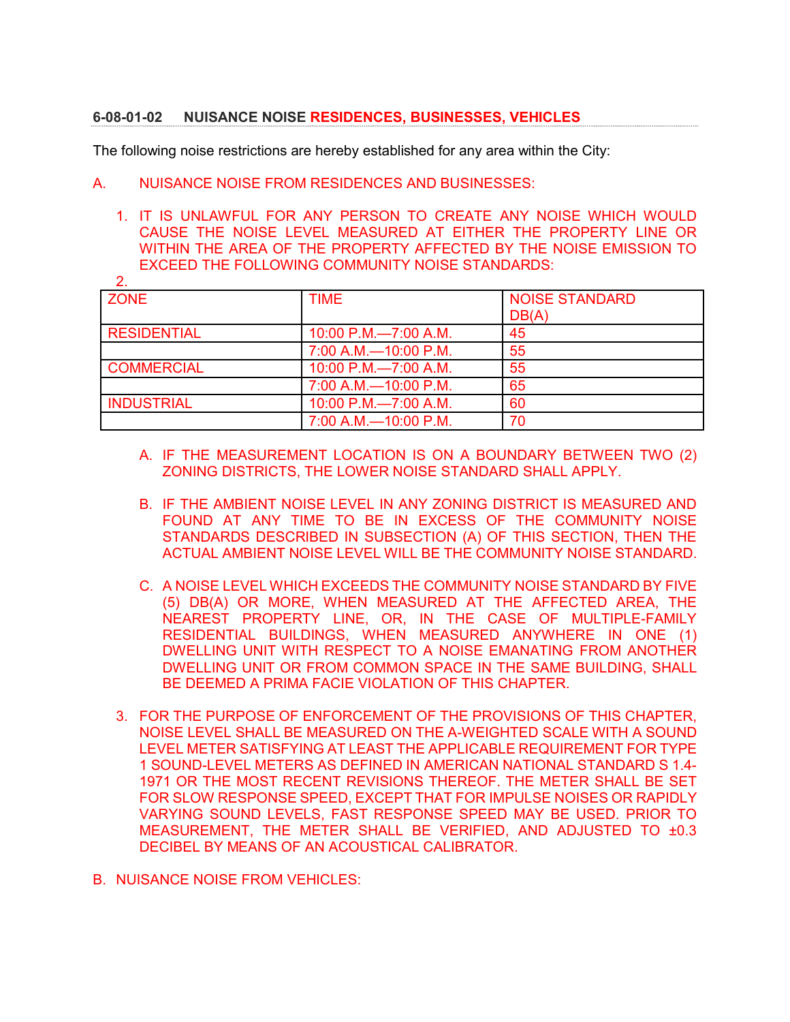## **6-08-01-02 NUISANCE NOISE RESIDENCES, BUSINESSES, VEHICLES**

The following noise restrictions are hereby established for any area within the City:

- A. NUISANCE NOISE FROM RESIDENCES AND BUSINESSES:
	- 1. IT IS UNLAWFUL FOR ANY PERSON TO CREATE ANY NOISE WHICH WOULD CAUSE THE NOISE LEVEL MEASURED AT EITHER THE PROPERTY LINE OR WITHIN THE AREA OF THE PROPERTY AFFECTED BY THE NOISE EMISSION TO EXCEED THE FOLLOWING COMMUNITY NOISE STANDARDS:  $\overline{2}$

| L.                 |                        |                       |
|--------------------|------------------------|-----------------------|
| <b>ZONE</b>        | <b>TIME</b>            | <b>NOISE STANDARD</b> |
|                    |                        | DB(A)                 |
| <b>RESIDENTIAL</b> | 10:00 P.M.-7:00 A.M.   | 45                    |
|                    | 7:00 A.M.-10:00 P.M.   | 55                    |
| <b>COMMERCIAL</b>  | 10:00 P.M.-7:00 A.M.   | 55                    |
|                    | 7:00 A.M. - 10:00 P.M. | 65                    |
| <b>INDUSTRIAL</b>  | 10:00 P.M.-7:00 A.M.   | 60                    |
|                    | 7:00 A.M. - 10:00 P.M. | 70                    |

- A. IF THE MEASUREMENT LOCATION IS ON A BOUNDARY BETWEEN TWO (2) ZONING DISTRICTS, THE LOWER NOISE STANDARD SHALL APPLY.
- B. IF THE AMBIENT NOISE LEVEL IN ANY ZONING DISTRICT IS MEASURED AND FOUND AT ANY TIME TO BE IN EXCESS OF THE COMMUNITY NOISE STANDARDS DESCRIBED IN SUBSECTION (A) OF THIS SECTION, THEN THE ACTUAL AMBIENT NOISE LEVEL WILL BE THE COMMUNITY NOISE STANDARD.
- C. A NOISE LEVEL WHICH EXCEEDS THE COMMUNITY NOISE STANDARD BY FIVE (5) DB(A) OR MORE, WHEN MEASURED AT THE AFFECTED AREA, THE NEAREST PROPERTY LINE, OR, IN THE CASE OF MULTIPLE-FAMILY RESIDENTIAL BUILDINGS, WHEN MEASURED ANYWHERE IN ONE (1) DWELLING UNIT WITH RESPECT TO A NOISE EMANATING FROM ANOTHER DWELLING UNIT OR FROM COMMON SPACE IN THE SAME BUILDING, SHALL BE DEEMED A PRIMA FACIE VIOLATION OF THIS CHAPTER.
- 3. FOR THE PURPOSE OF ENFORCEMENT OF THE PROVISIONS OF THIS CHAPTER, NOISE LEVEL SHALL BE MEASURED ON THE A-WEIGHTED SCALE WITH A SOUND LEVEL METER SATISFYING AT LEAST THE APPLICABLE REQUIREMENT FOR TYPE 1 SOUND-LEVEL METERS AS DEFINED IN AMERICAN NATIONAL STANDARD S 1.4- 1971 OR THE MOST RECENT REVISIONS THEREOF. THE METER SHALL BE SET FOR SLOW RESPONSE SPEED, EXCEPT THAT FOR IMPULSE NOISES OR RAPIDLY VARYING SOUND LEVELS, FAST RESPONSE SPEED MAY BE USED. PRIOR TO MEASUREMENT, THE METER SHALL BE VERIFIED, AND ADJUSTED TO ±0.3 DECIBEL BY MEANS OF AN ACOUSTICAL CALIBRATOR.
- B. NUISANCE NOISE FROM VEHICLES: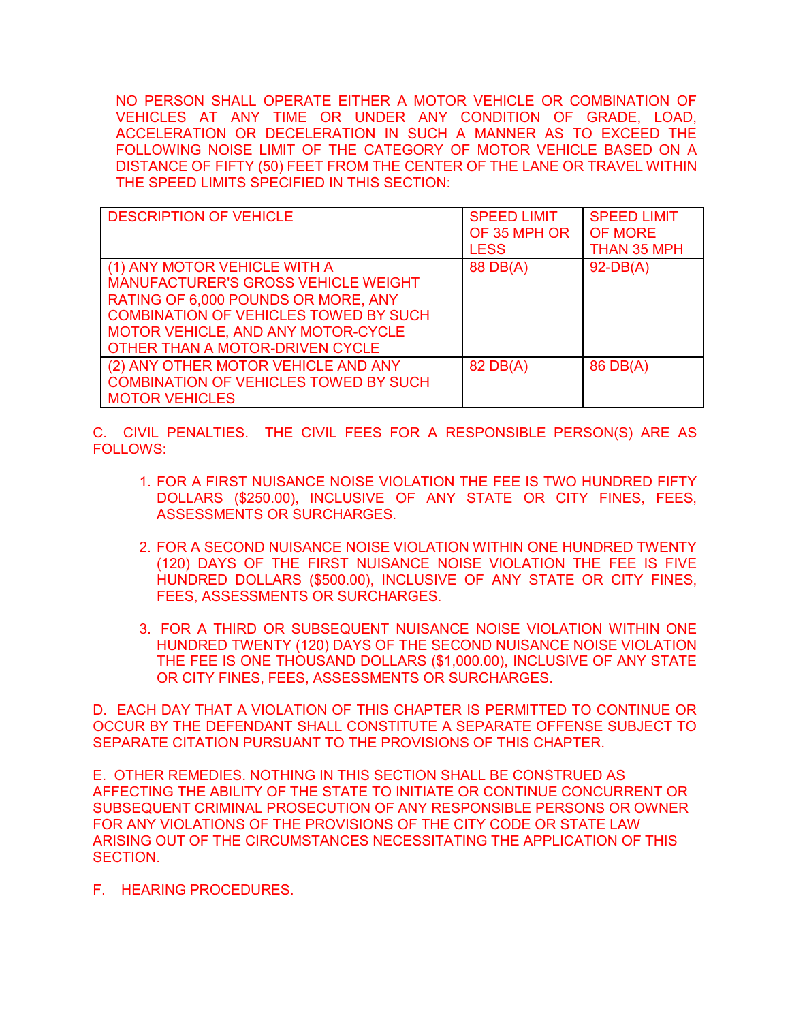NO PERSON SHALL OPERATE EITHER A MOTOR VEHICLE OR COMBINATION OF VEHICLES AT ANY TIME OR UNDER ANY CONDITION OF GRADE, LOAD, ACCELERATION OR DECELERATION IN SUCH A MANNER AS TO EXCEED THE FOLLOWING NOISE LIMIT OF THE CATEGORY OF MOTOR VEHICLE BASED ON A DISTANCE OF FIFTY (50) FEET FROM THE CENTER OF THE LANE OR TRAVEL WITHIN THE SPEED LIMITS SPECIFIED IN THIS SECTION:

| <b>DESCRIPTION OF VEHICLE</b>                                                                                                                                                                                                              | <b>SPEED LIMIT</b><br>OF 35 MPH OR<br><b>LESS</b> | <b>SPEED LIMIT</b><br><b>OF MORE</b><br>THAN 35 MPH |
|--------------------------------------------------------------------------------------------------------------------------------------------------------------------------------------------------------------------------------------------|---------------------------------------------------|-----------------------------------------------------|
| (1) ANY MOTOR VEHICLE WITH A<br><b>MANUFACTURER'S GROSS VEHICLE WEIGHT</b><br>RATING OF 6,000 POUNDS OR MORE, ANY<br><b>COMBINATION OF VEHICLES TOWED BY SUCH</b><br>MOTOR VEHICLE, AND ANY MOTOR-CYCLE<br>OTHER THAN A MOTOR-DRIVEN CYCLE | 88 DB(A)                                          | $92-DB(A)$                                          |
| (2) ANY OTHER MOTOR VEHICLE AND ANY<br><b>COMBINATION OF VEHICLES TOWED BY SUCH</b><br><b>MOTOR VEHICLES</b>                                                                                                                               | 82 DB(A)                                          | 86 DB(A)                                            |

C. CIVIL PENALTIES. THE CIVIL FEES FOR A RESPONSIBLE PERSON(S) ARE AS FOLLOWS:

- 1. FOR A FIRST NUISANCE NOISE VIOLATION THE FEE IS TWO HUNDRED FIFTY DOLLARS (\$250.00), INCLUSIVE OF ANY STATE OR CITY FINES, FEES, ASSESSMENTS OR SURCHARGES.
- 2. FOR A SECOND NUISANCE NOISE VIOLATION WITHIN ONE HUNDRED TWENTY (120) DAYS OF THE FIRST NUISANCE NOISE VIOLATION THE FEE IS FIVE HUNDRED DOLLARS (\$500.00), INCLUSIVE OF ANY STATE OR CITY FINES, FEES, ASSESSMENTS OR SURCHARGES.
- 3. FOR A THIRD OR SUBSEQUENT NUISANCE NOISE VIOLATION WITHIN ONE HUNDRED TWENTY (120) DAYS OF THE SECOND NUISANCE NOISE VIOLATION THE FEE IS ONE THOUSAND DOLLARS (\$1,000.00), INCLUSIVE OF ANY STATE OR CITY FINES, FEES, ASSESSMENTS OR SURCHARGES.

D. EACH DAY THAT A VIOLATION OF THIS CHAPTER IS PERMITTED TO CONTINUE OR OCCUR BY THE DEFENDANT SHALL CONSTITUTE A SEPARATE OFFENSE SUBJECT TO SEPARATE CITATION PURSUANT TO THE PROVISIONS OF THIS CHAPTER.

E. OTHER REMEDIES. NOTHING IN THIS SECTION SHALL BE CONSTRUED AS AFFECTING THE ABILITY OF THE STATE TO INITIATE OR CONTINUE CONCURRENT OR SUBSEQUENT CRIMINAL PROSECUTION OF ANY RESPONSIBLE PERSONS OR OWNER FOR ANY VIOLATIONS OF THE PROVISIONS OF THE CITY CODE OR STATE LAW ARISING OUT OF THE CIRCUMSTANCES NECESSITATING THE APPLICATION OF THIS SECTION.

F. HEARING PROCEDURES.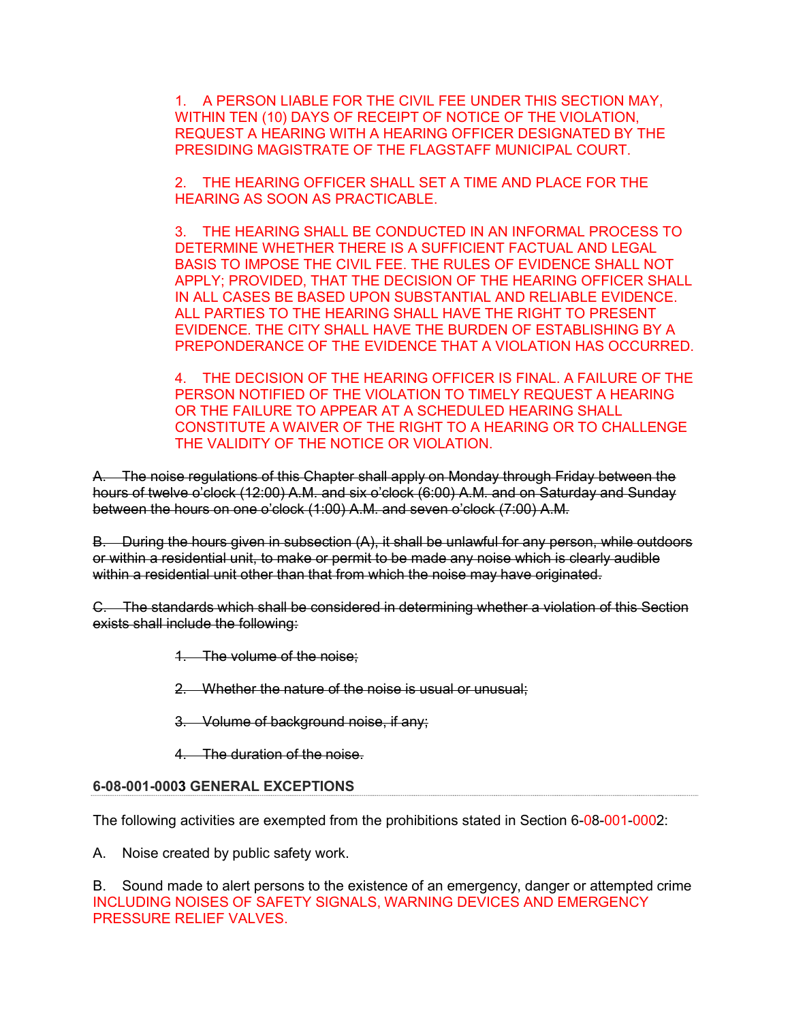1. A PERSON LIABLE FOR THE CIVIL FEE UNDER THIS SECTION MAY, WITHIN TEN (10) DAYS OF RECEIPT OF NOTICE OF THE VIOLATION, REQUEST A HEARING WITH A HEARING OFFICER DESIGNATED BY THE PRESIDING MAGISTRATE OF THE FLAGSTAFF MUNICIPAL COURT.

2. THE HEARING OFFICER SHALL SET A TIME AND PLACE FOR THE HEARING AS SOON AS PRACTICABLE.

3. THE HEARING SHALL BE CONDUCTED IN AN INFORMAL PROCESS TO DETERMINE WHETHER THERE IS A SUFFICIENT FACTUAL AND LEGAL BASIS TO IMPOSE THE CIVIL FEE. THE RULES OF EVIDENCE SHALL NOT APPLY; PROVIDED, THAT THE DECISION OF THE HEARING OFFICER SHALL IN ALL CASES BE BASED UPON SUBSTANTIAL AND RELIABLE EVIDENCE. ALL PARTIES TO THE HEARING SHALL HAVE THE RIGHT TO PRESENT EVIDENCE. THE CITY SHALL HAVE THE BURDEN OF ESTABLISHING BY A PREPONDERANCE OF THE EVIDENCE THAT A VIOLATION HAS OCCURRED.

4. THE DECISION OF THE HEARING OFFICER IS FINAL. A FAILURE OF THE PERSON NOTIFIED OF THE VIOLATION TO TIMELY REQUEST A HEARING OR THE FAILURE TO APPEAR AT A SCHEDULED HEARING SHALL CONSTITUTE A WAIVER OF THE RIGHT TO A HEARING OR TO CHALLENGE THE VALIDITY OF THE NOTICE OR VIOLATION.

A. The noise regulations of this Chapter shall apply on Monday through Friday between the hours of twelve o'clock (12:00) A.M. and six o'clock (6:00) A.M. and on Saturday and Sunday between the hours on one o'clock (1:00) A.M. and seven o'clock (7:00) A.M.

B. During the hours given in subsection (A), it shall be unlawful for any person, while outdoors or within a residential unit, to make or permit to be made any noise which is clearly audible within a residential unit other than that from which the noise may have originated.

C. The standards which shall be considered in determining whether a violation of this Section exists shall include the following:

1. The volume of the noise;

2. Whether the nature of the noise is usual or unusual;

- 3. Volume of background noise, if any;
- 4. The duration of the noise.

## **6-08-001-0003 GENERAL EXCEPTIONS**

The following activities are exempted from the prohibitions stated in Section 6-08-001-0002:

A. Noise created by public safety work.

B. Sound made to alert persons to the existence of an emergency, danger or attempted crime INCLUDING NOISES OF SAFETY SIGNALS, WARNING DEVICES AND EMERGENCY PRESSURE RELIEF VALVES.